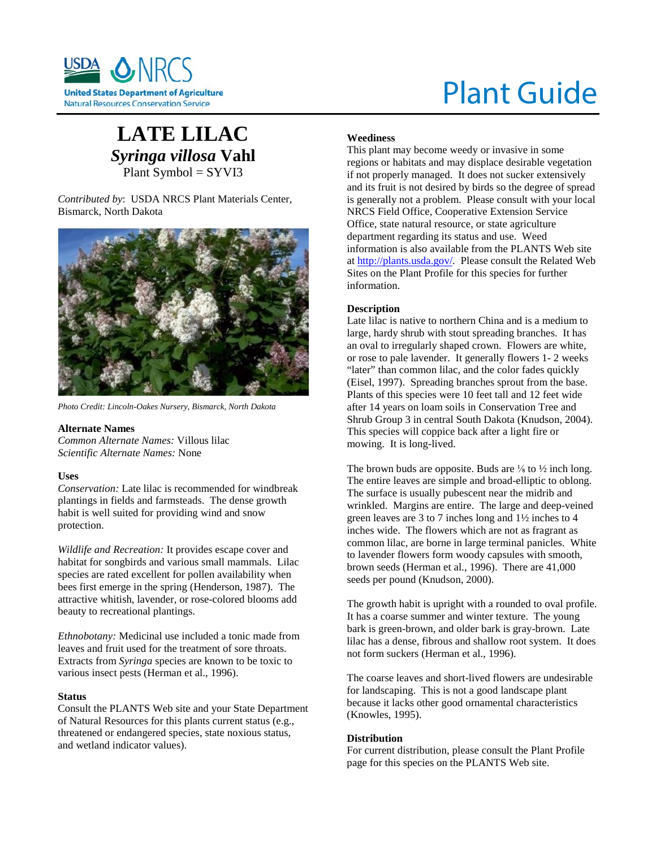

# Plant Guide

# **LATE LILAC** *Syringa villosa* **Vahl** Plant Symbol = SYVI3

*Contributed by*: USDA NRCS Plant Materials Center, Bismarck, North Dakota



*Photo Credit: Lincoln-Oakes Nursery, Bismarck, North Dakota*

## **Alternate Names**

*Common Alternate Names:* Villous lilac *Scientific Alternate Names:* None

#### **Uses**

*Conservation:* Late lilac is recommended for windbreak plantings in fields and farmsteads. The dense growth habit is well suited for providing wind and snow protection.

*Wildlife and Recreation:* It provides escape cover and habitat for songbirds and various small mammals. Lilac species are rated excellent for pollen availability when bees first emerge in the spring (Henderson, 1987). The attractive whitish, lavender, or rose-colored blooms add beauty to recreational plantings.

*Ethnobotany:* Medicinal use included a tonic made from leaves and fruit used for the treatment of sore throats. Extracts from *Syringa* species are known to be toxic to various insect pests (Herman et al., 1996).

#### **Status**

Consult the PLANTS Web site and your State Department of Natural Resources for this plants current status (e.g., threatened or endangered species, state noxious status, and wetland indicator values).

# **Weediness**

This plant may become weedy or invasive in some regions or habitats and may displace desirable vegetation if not properly managed. It does not sucker extensively and its fruit is not desired by birds so the degree of spread is generally not a problem. Please consult with your local NRCS Field Office, Cooperative Extension Service Office, state natural resource, or state agriculture department regarding its status and use. Weed information is also available from the PLANTS Web site a[t http://plants.usda.gov/.](http://plants.usda.gov/) Please consult the Related Web Sites on the Plant Profile for this species for further information.

# **Description**

Late lilac is native to northern China and is a medium to large, hardy shrub with stout spreading branches. It has an oval to irregularly shaped crown. Flowers are white, or rose to pale lavender. It generally flowers 1- 2 weeks "later" than common lilac, and the color fades quickly (Eisel, 1997). Spreading branches sprout from the base. Plants of this species were 10 feet tall and 12 feet wide after 14 years on loam soils in Conservation Tree and Shrub Group 3 in central South Dakota (Knudson, 2004). This species will coppice back after a light fire or mowing. It is long-lived.

The brown buds are opposite. Buds are  $\frac{1}{8}$  to  $\frac{1}{2}$  inch long. The entire leaves are simple and broad-elliptic to oblong. The surface is usually pubescent near the midrib and wrinkled. Margins are entire. The large and deep-veined green leaves are 3 to 7 inches long and 1½ inches to 4 inches wide. The flowers which are not as fragrant as common lilac, are borne in large terminal panicles. White to lavender flowers form woody capsules with smooth, brown seeds (Herman et al., 1996). There are 41,000 seeds per pound (Knudson, 2000).

The growth habit is upright with a rounded to oval profile. It has a coarse summer and winter texture. The young bark is green-brown, and older bark is gray-brown. Late lilac has a dense, fibrous and shallow root system. It does not form suckers (Herman et al., 1996).

The coarse leaves and short-lived flowers are undesirable for landscaping. This is not a good landscape plant because it lacks other good ornamental characteristics (Knowles, 1995).

#### **Distribution**

For current distribution, please consult the Plant Profile page for this species on the PLANTS Web site.